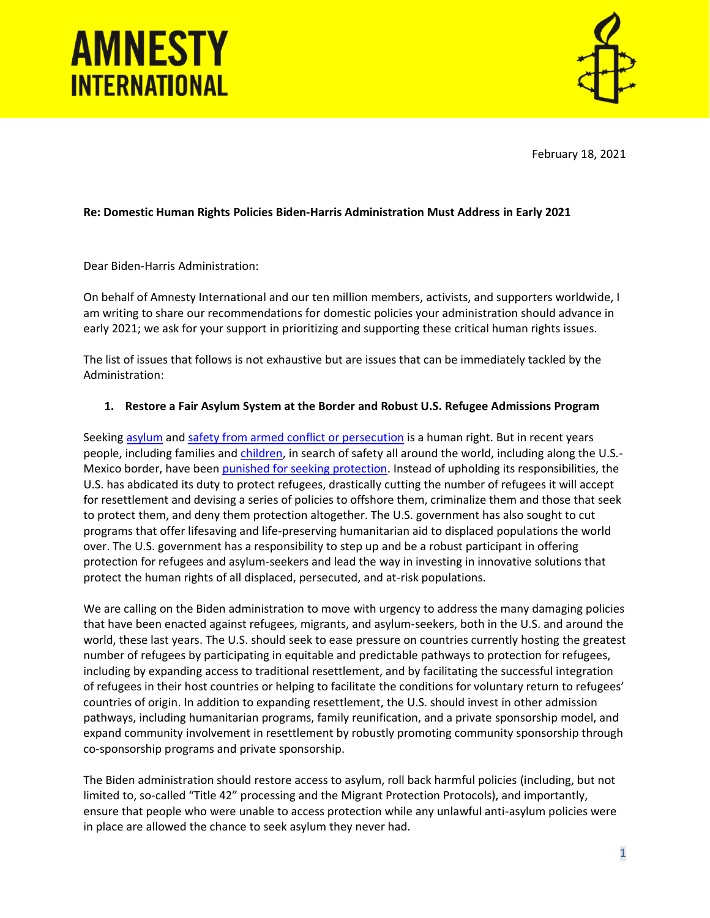



February 18, 2021

### **Re: Domestic Human Rights Policies Biden-Harris Administration Must Address in Early 2021**

Dear Biden-Harris Administration:

On behalf of Amnesty International and our ten million members, activists, and supporters worldwide, I am writing to share our recommendations for domestic policies your administration should advance in early 2021; we ask for your support in prioritizing and supporting these critical human rights issues.

The list of issues that follows is not exhaustive but are issues that can be immediately tackled by the Administration:

#### **1. Restore a Fair Asylum System at the Border and Robust U.S. Refugee Admissions Program**

Seeking [asylum](https://2020electionscovid.amnestyusa.org/asylum-and-covid-19/) and [safety from armed conflict or persecution](https://2020electionscovid.amnestyusa.org/refugees/) is a human right. But in recent years people, including families an[d children,](https://www.amnestyusa.org/reports/no-home-for-children-us-government-detention-of-children-at-homestead-facility-cruel-and-unlawful/) in search of safety all around the world, including along the U.S.- Mexico border, have been [punished for seeking protection.](https://www.amnesty.org/en/latest/research/2018/10/usa-treatment-of-asylum-seekers-southern-border/) Instead of upholding its responsibilities, the U.S. has abdicated its duty to protect refugees, drastically cutting the number of refugees it will accept for resettlement and devising a series of policies to offshore them, criminalize them and those that seek to protect them, and deny them protection altogether. The U.S. government has also sought to cut programs that offer lifesaving and life-preserving humanitarian aid to displaced populations the world over. The U.S. government has a responsibility to step up and be a robust participant in offering protection for refugees and asylum-seekers and lead the way in investing in innovative solutions that protect the human rights of all displaced, persecuted, and at-risk populations.

We are calling on the Biden administration to move with urgency to address the many damaging policies that have been enacted against refugees, migrants, and asylum-seekers, both in the U.S. and around the world, these last years. The U.S. should seek to ease pressure on countries currently hosting the greatest number of refugees by participating in equitable and predictable pathways to protection for refugees, including by expanding access to traditional resettlement, and by facilitating the successful integration of refugees in their host countries or helping to facilitate the conditions for voluntary return to refugees' countries of origin. In addition to expanding resettlement, the U.S. should invest in other admission pathways, including humanitarian programs, family reunification, and a private sponsorship model, and expand community involvement in resettlement by robustly promoting community sponsorship through co-sponsorship programs and private sponsorship.

The Biden administration should restore access to asylum, roll back harmful policies (including, but not limited to, so-called "Title 42" processing and the Migrant Protection Protocols), and importantly, ensure that people who were unable to access protection while any unlawful anti-asylum policies were in place are allowed the chance to seek asylum they never had.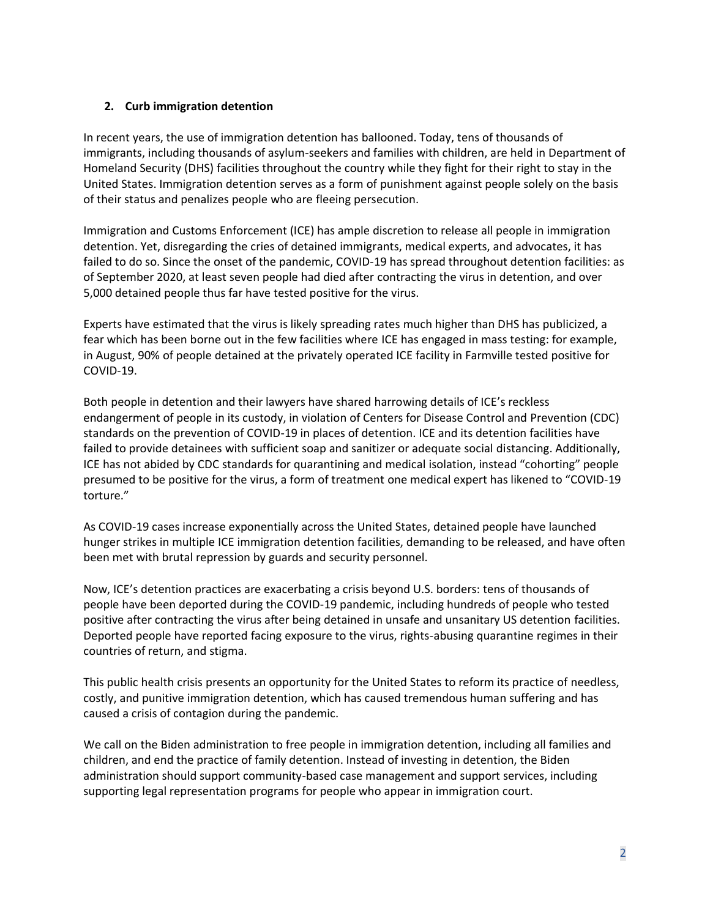### **2. Curb immigration detention**

In recent years, the use of immigration detention has ballooned. Today, tens of thousands of immigrants, including thousands of asylum-seekers and families with children, are held in Department of Homeland Security (DHS) facilities throughout the country while they fight for their right to stay in the United States. Immigration detention serves as a form of punishment against people solely on the basis of their status and penalizes people who are fleeing persecution.

Immigration and Customs Enforcement (ICE) has ample discretion to release all people in immigration detention. Yet, disregarding the cries of detained immigrants, medical experts, and advocates, it has failed to do so. Since the onset of the pandemic, COVID-19 has spread throughout detention facilities: as of September 2020, at least seven people had died after contracting the virus in detention, and over 5,000 detained people thus far have tested positive for the virus.

Experts have estimated that the virus is likely spreading rates much higher than DHS has publicized, a fear which has been borne out in the few facilities where ICE has engaged in mass testing: for example, in August, 90% of people detained at the privately operated ICE facility in Farmville tested positive for COVID-19.

Both people in detention and their lawyers have shared harrowing details of ICE's reckless endangerment of people in its custody, in violation of Centers for Disease Control and Prevention (CDC) standards on the prevention of COVID-19 in places of detention. ICE and its detention facilities have failed to provide detainees with sufficient soap and sanitizer or adequate social distancing. Additionally, ICE has not abided by CDC standards for quarantining and medical isolation, instead "cohorting" people presumed to be positive for the virus, a form of treatment one medical expert has likened to "COVID-19 torture."

As COVID-19 cases increase exponentially across the United States, detained people have launched hunger strikes in multiple ICE immigration detention facilities, demanding to be released, and have often been met with brutal repression by guards and security personnel.

Now, ICE's detention practices are exacerbating a crisis beyond U.S. borders: tens of thousands of people have been deported during the COVID-19 pandemic, including hundreds of people who tested positive after contracting the virus after being detained in unsafe and unsanitary US detention facilities. Deported people have reported facing exposure to the virus, rights-abusing quarantine regimes in their countries of return, and stigma.

This public health crisis presents an opportunity for the United States to reform its practice of needless, costly, and punitive immigration detention, which has caused tremendous human suffering and has caused a crisis of contagion during the pandemic.

We call on the Biden administration to free people in immigration detention, including all families and children, and end the practice of family detention. Instead of investing in detention, the Biden administration should support community-based case management and support services, including supporting legal representation programs for people who appear in immigration court.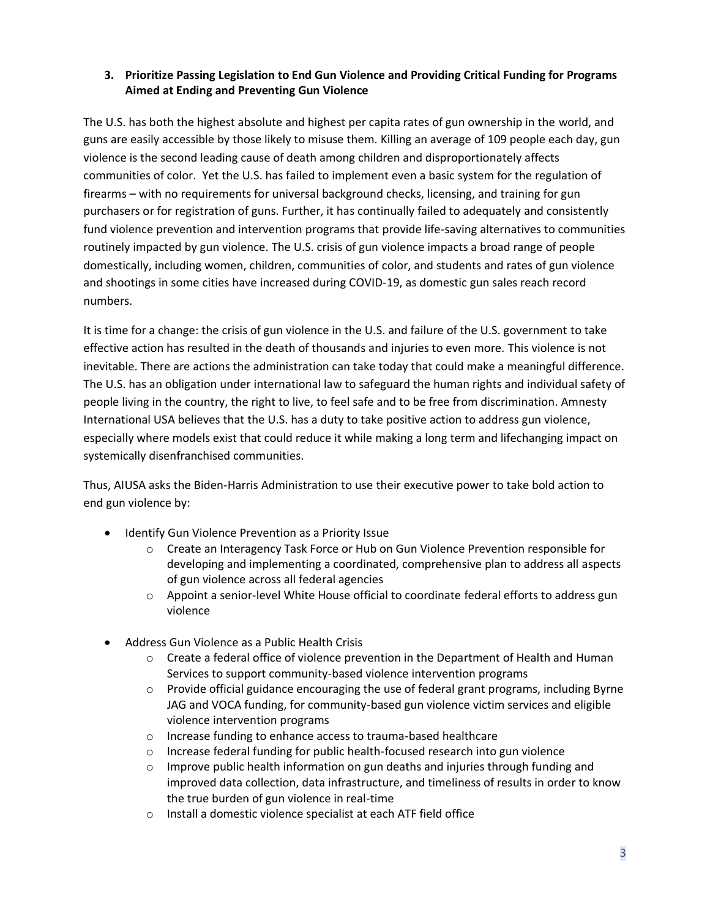## **3. Prioritize Passing Legislation to End Gun Violence and Providing Critical Funding for Programs Aimed at Ending and Preventing Gun Violence**

The U.S. has both the highest absolute and highest per capita rates of gun ownership in the world, and guns are easily accessible by those likely to misuse them. Killing an average of 109 people each day, gun violence is the second leading cause of death among children and disproportionately affects communities of color. Yet the U.S. has failed to implement even a basic system for the regulation of firearms – with no requirements for universal background checks, licensing, and training for gun purchasers or for registration of guns. Further, it has continually failed to adequately and consistently fund violence prevention and intervention programs that provide life-saving alternatives to communities routinely impacted by gun violence. The U.S. crisis of gun violence impacts a broad range of people domestically, including women, children, communities of color, and students and rates of gun violence and shootings in some cities have increased during COVID-19, as domestic gun sales reach record numbers.

It is time for a change: the crisis of gun violence in the U.S. and failure of the U.S. government to take effective action has resulted in the death of thousands and injuries to even more. This violence is not inevitable. There are actions the administration can take today that could make a meaningful difference. The U.S. has an obligation under international law to safeguard the human rights and individual safety of people living in the country, the right to live, to feel safe and to be free from discrimination. Amnesty International USA believes that the U.S. has a duty to take positive action to address gun violence, especially where models exist that could reduce it while making a long term and lifechanging impact on systemically disenfranchised communities.

Thus, AIUSA asks the Biden-Harris Administration to use their executive power to take bold action to end gun violence by:

- Identify Gun Violence Prevention as a Priority Issue
	- o Create an Interagency Task Force or Hub on Gun Violence Prevention responsible for developing and implementing a coordinated, comprehensive plan to address all aspects of gun violence across all federal agencies
	- $\circ$  Appoint a senior-level White House official to coordinate federal efforts to address gun violence
- Address Gun Violence as a Public Health Crisis
	- $\circ$  Create a federal office of violence prevention in the Department of Health and Human Services to support community-based violence intervention programs
	- $\circ$  Provide official guidance encouraging the use of federal grant programs, including Byrne JAG and VOCA funding, for community-based gun violence victim services and eligible violence intervention programs
	- o Increase funding to enhance access to trauma-based healthcare
	- o Increase federal funding for public health-focused research into gun violence
	- $\circ$  Improve public health information on gun deaths and injuries through funding and improved data collection, data infrastructure, and timeliness of results in order to know the true burden of gun violence in real-time
	- o Install a domestic violence specialist at each ATF field office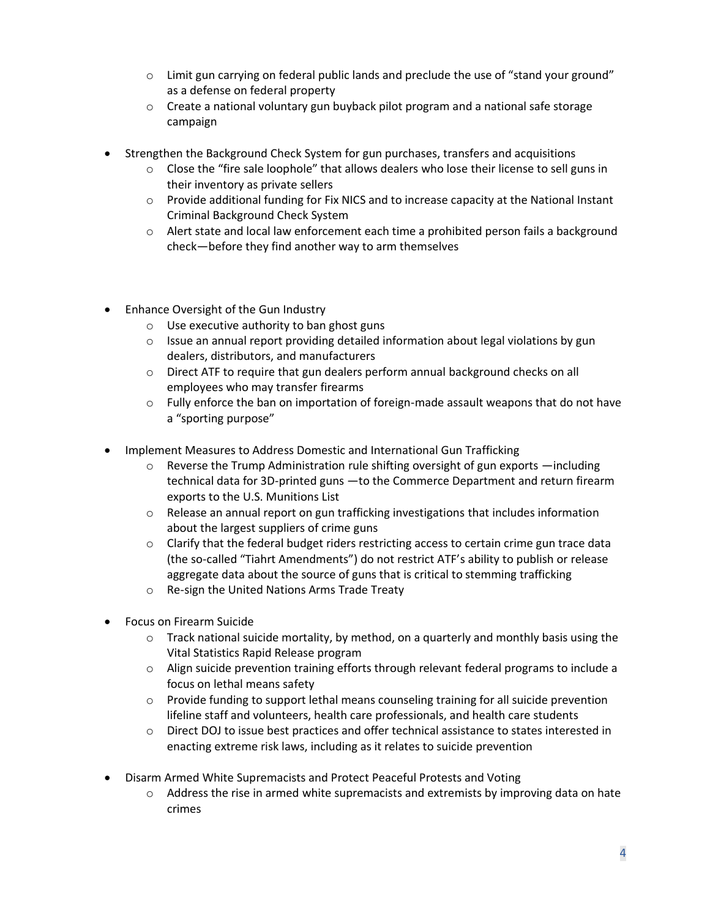- $\circ$  Limit gun carrying on federal public lands and preclude the use of "stand your ground" as a defense on federal property
- $\circ$  Create a national voluntary gun buyback pilot program and a national safe storage campaign
- Strengthen the Background Check System for gun purchases, transfers and acquisitions
	- o Close the "fire sale loophole" that allows dealers who lose their license to sell guns in their inventory as private sellers
	- $\circ$  Provide additional funding for Fix NICS and to increase capacity at the National Instant Criminal Background Check System
	- $\circ$  Alert state and local law enforcement each time a prohibited person fails a background check—before they find another way to arm themselves
- Enhance Oversight of the Gun Industry
	- o Use executive authority to ban ghost guns
	- $\circ$  Issue an annual report providing detailed information about legal violations by gun dealers, distributors, and manufacturers
	- $\circ$  Direct ATF to require that gun dealers perform annual background checks on all employees who may transfer firearms
	- $\circ$  Fully enforce the ban on importation of foreign-made assault weapons that do not have a "sporting purpose"
- Implement Measures to Address Domestic and International Gun Trafficking
	- $\circ$  Reverse the Trump Administration rule shifting oversight of gun exports  $-$ including technical data for 3D-printed guns —to the Commerce Department and return firearm exports to the U.S. Munitions List
	- $\circ$  Release an annual report on gun trafficking investigations that includes information about the largest suppliers of crime guns
	- $\circ$  Clarify that the federal budget riders restricting access to certain crime gun trace data (the so-called "Tiahrt Amendments") do not restrict ATF's ability to publish or release aggregate data about the source of guns that is critical to stemming trafficking
	- o Re-sign the United Nations Arms Trade Treaty
- Focus on Firearm Suicide
	- $\circ$  Track national suicide mortality, by method, on a quarterly and monthly basis using the Vital Statistics Rapid Release program
	- o Align suicide prevention training efforts through relevant federal programs to include a focus on lethal means safety
	- $\circ$  Provide funding to support lethal means counseling training for all suicide prevention lifeline staff and volunteers, health care professionals, and health care students
	- o Direct DOJ to issue best practices and offer technical assistance to states interested in enacting extreme risk laws, including as it relates to suicide prevention
- Disarm Armed White Supremacists and Protect Peaceful Protests and Voting
	- $\circ$  Address the rise in armed white supremacists and extremists by improving data on hate crimes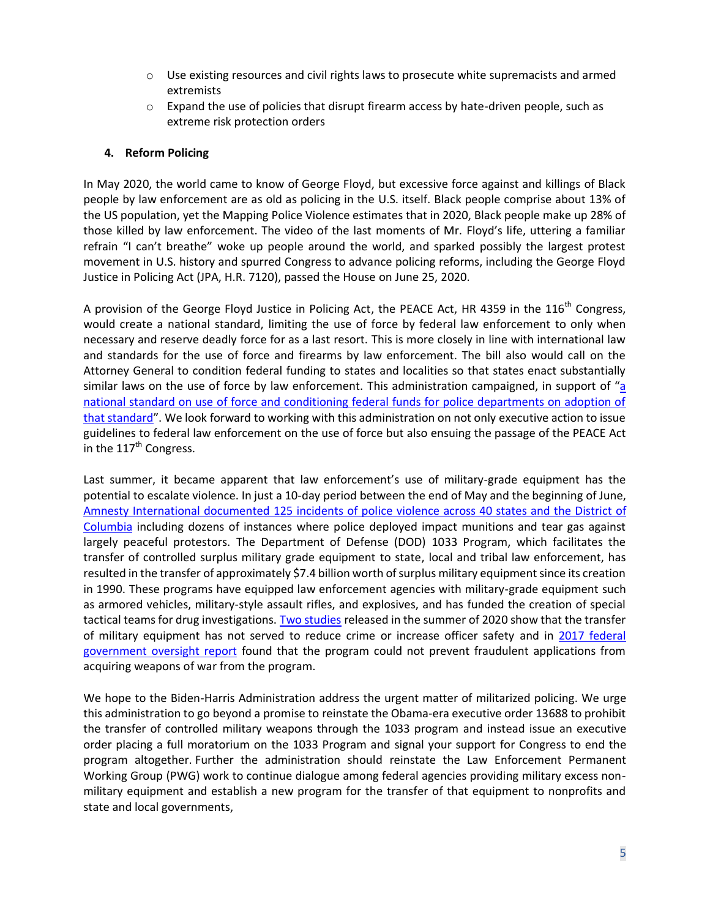- o Use existing resources and civil rights laws to prosecute white supremacists and armed extremists
- $\circ$  Expand the use of policies that disrupt firearm access by hate-driven people, such as extreme risk protection orders

### **4. Reform Policing**

In May 2020, the world came to know of George Floyd, but excessive force against and killings of Black people by law enforcement are as old as policing in the U.S. itself. Black people comprise about 13% of the US population, yet the Mapping Police Violence estimates that in 2020, Black people make up 28% of those killed by law enforcement. The video of the last moments of Mr. Floyd's life, uttering a familiar refrain "I can't breathe" woke up people around the world, and sparked possibly the largest protest movement in U.S. history and spurred Congress to advance policing reforms, including the George Floyd Justice in Policing Act (JPA, H.R. 7120), passed the House on June 25, 2020.

A provision of the George Floyd Justice in Policing Act, the PEACE Act, HR 4359 in the  $116<sup>th</sup>$  Congress, would create a national standard, limiting the use of force by federal law enforcement to only when necessary and reserve deadly force for as a last resort. This is more closely in line with international law and standards for the use of force and firearms by law enforcement. The bill also would call on the Attorney General to condition federal funding to states and localities so that states enact substantially similar laws on the use of force by law enforcement. This administration campaigned, in support of "[a](https://abcnews.go.com/Politics/biden-harris-unveil-listening-ad-focused-racial-injustice/story?id=72782264)  [national standard on use of force and conditioning federal funds for police departments on adoption of](https://abcnews.go.com/Politics/biden-harris-unveil-listening-ad-focused-racial-injustice/story?id=72782264) [that standard](https://abcnews.go.com/Politics/biden-harris-unveil-listening-ad-focused-racial-injustice/story?id=72782264)". We look forward to working with this administration on not only executive action to issue guidelines to federal law enforcement on the use of force but also ensuing the passage of the PEACE Act in the  $117<sup>th</sup>$  Congress.

Last summer, it became apparent that law enforcement's use of military-grade equipment has the potential to escalate violence. In just a 10-day period between the end of May and the beginning of June, Amnesty International [documented 125 incidents of police violence across 40 states and the District of](https://www.amnestyusa.org/protest-map/)  [Columbia](https://www.amnestyusa.org/protest-map/) including dozens of instances where police deployed impact munitions and tear gas against largely peaceful protestors. The Department of Defense (DOD) 1033 Program, which facilitates the transfer of controlled surplus military grade equipment to state, local and tribal law enforcement, has resulted in the transfer of approximately \$7.4 billion worth of surplus military equipment since its creation in 1990. These programs have equipped law enforcement agencies with military-grade equipment such as armored vehicles, military-style assault rifles, and explosives, and has funded the creation of special tactical teams for drug investigations. [Two studies](https://abcnews.go.com/US/providing-police-military-gear-reduce-crime-protect-officers/story?id=74518923) released in the summer of 2020 show that the transfer of military equipment has not served to reduce crime or increase officer safety and in 2017 federal [government oversight report](https://www.gao.gov/assets/690/685916.pdf) found that the program could not prevent fraudulent applications from acquiring weapons of war from the program.

We hope to the Biden-Harris Administration address the urgent matter of militarized policing. We urge this administration to go beyond a promise to reinstate the Obama-era executive order 13688 to prohibit the transfer of controlled military weapons through the 1033 program and instead issue an executive order placing a full moratorium on the 1033 Program and signal your support for Congress to end the program altogether. Further the administration should reinstate the Law Enforcement Permanent Working Group (PWG) work to continue dialogue among federal agencies providing military excess nonmilitary equipment and establish a new program for the transfer of that equipment to nonprofits and state and local governments,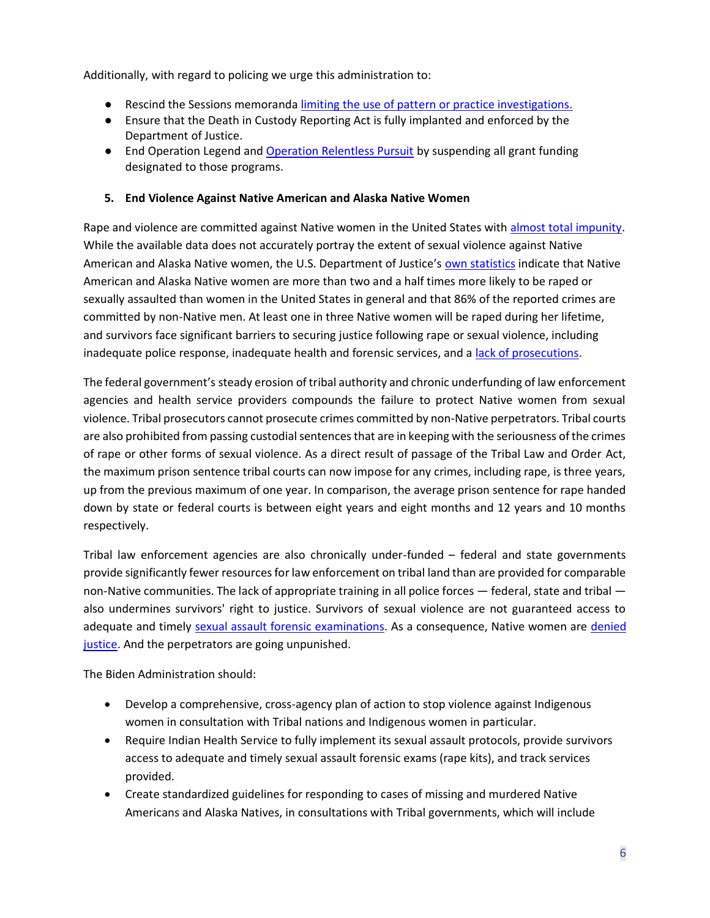Additionally, with regard to policing we urge this administration to:

- Rescind the Sessions memorand[a limiting the use of pattern or practice investigations.](https://www.justice.gov/opa/press-release/file/1109621/download)
- Ensure that the Death in Custody Reporting Act is fully implanted and enforced by the Department of Justice.
- End Operation Legend an[d Operation Relentless Pursuit](https://cdn.buttercms.com/Kmgx7RR7Rl2qxUtj6aIp) by suspending all grant funding designated to those programs.

### **5. End Violence Against Native American and Alaska Native Women**

Rape and violence are committed against Native women in the United States with [almost total impunity.](https://www.amnestyusa.org/wp-content/uploads/2017/05/MazeOfInjustice_1yr.pdf) While the available data does not accurately portray the extent of sexual violence against Native American and Alaska Native women, the U.S. Department of Justice's [own statistics](https://www.bjs.gov/content/pub/pdf/aic02.pdf) indicate that Native American and Alaska Native women are more than two and a half times more likely to be raped or sexually assaulted than women in the United States in general and that 86% of the reported crimes are committed by non-Native men. At least one in three Native women will be raped during her lifetime, and survivors face significant barriers to securing justice following rape or sexual violence, including inadequate police response, inadequate health and forensic services, and a [lack of prosecutions.](https://www.gao.gov/products/GAO-11-167R)

The federal government's steady erosion of tribal authority and chronic underfunding of law enforcement agencies and health service providers compounds the failure to protect Native women from sexual violence. Tribal prosecutors cannot prosecute crimes committed by non-Native perpetrators. Tribal courts are also prohibited from passing custodial sentences that are in keeping with the seriousness of the crimes of rape or other forms of sexual violence. As a direct result of passage of the Tribal Law and Order Act, the maximum prison sentence tribal courts can now impose for any crimes, including rape, is three years, up from the previous maximum of one year. In comparison, the average prison sentence for rape handed down by state or federal courts is between eight years and eight months and 12 years and 10 months respectively.

Tribal law enforcement agencies are also chronically under-funded – federal and state governments provide significantly fewer resources for law enforcement on tribal land than are provided for comparable non-Native communities. The lack of appropriate training in all police forces — federal, state and tribal also undermines survivors' right to justice. Survivors of sexual violence are not guaranteed access to adequate and timely [sexual assault forensic examinations.](https://www.amnestyusa.org/wp-content/uploads/2020/12/Barriers-to-rape-kit.pdf) As a consequence, Native women are denied [justice.](https://www.amnestyusa.org/wp-content/uploads/2020/12/Barriers-to-justice.pdf) And the perpetrators are going unpunished.

The Biden Administration should:

- Develop a comprehensive, cross-agency plan of action to stop violence against Indigenous women in consultation with Tribal nations and Indigenous women in particular.
- Require Indian Health Service to fully implement its sexual assault protocols, provide survivors access to adequate and timely sexual assault forensic exams (rape kits), and track services provided.
- Create standardized guidelines for responding to cases of missing and murdered Native Americans and Alaska Natives, in consultations with Tribal governments, which will include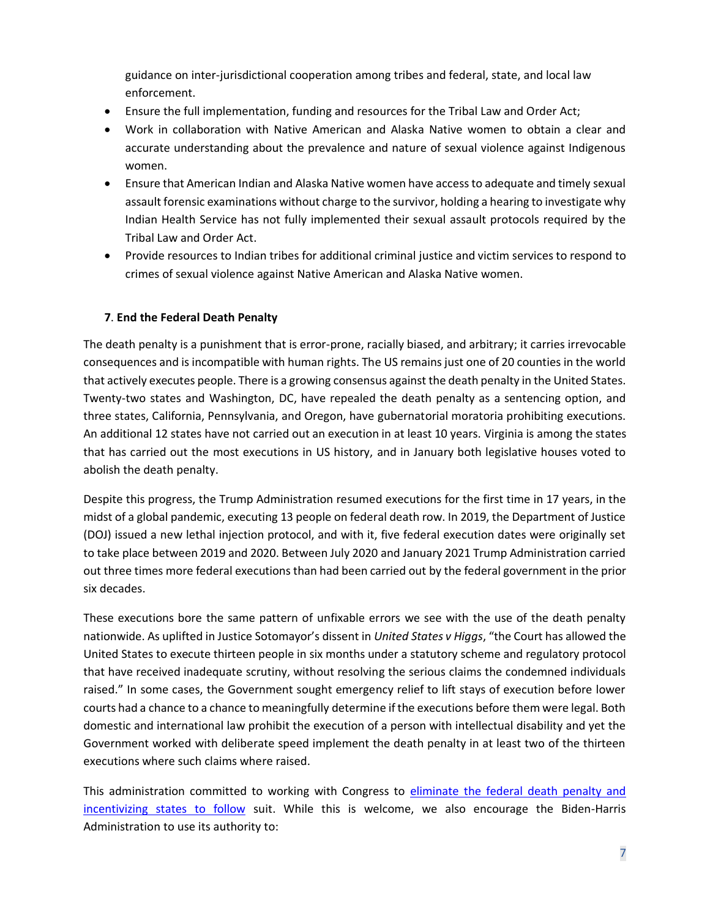guidance on inter-jurisdictional cooperation among tribes and federal, state, and local law enforcement.

- Ensure the full implementation, funding and resources for the Tribal Law and Order Act;
- Work in collaboration with Native American and Alaska Native women to obtain a clear and accurate understanding about the prevalence and nature of sexual violence against Indigenous women.
- Ensure that American Indian and Alaska Native women have access to adequate and timely sexual assault forensic examinations without charge to the survivor, holding a hearing to investigate why Indian Health Service has not fully implemented their sexual assault protocols required by the Tribal Law and Order Act.
- Provide resources to Indian tribes for additional criminal justice and victim services to respond to crimes of sexual violence against Native American and Alaska Native women.

# **7**. **End the Federal Death Penalty**

The death penalty is a punishment that is error-prone, racially biased, and arbitrary; it carries irrevocable consequences and is incompatible with human rights. The US remains just one of 20 counties in the world that actively executes people. There is a growing consensus against the death penalty in the United States. Twenty-two states and Washington, DC, have repealed the death penalty as a sentencing option, and three states, California, Pennsylvania, and Oregon, have gubernatorial moratoria prohibiting executions. An additional 12 states have not carried out an execution in at least 10 years. Virginia is among the states that has carried out the most executions in US history, and in January both legislative houses voted to abolish the death penalty.

Despite this progress, the Trump Administration resumed executions for the first time in 17 years, in the midst of a global pandemic, executing 13 people on federal death row. In 2019, the Department of Justice (DOJ) issued a new lethal injection protocol, and with it, five federal execution dates were originally set to take place between 2019 and 2020. Between July 2020 and January 2021 Trump Administration carried out three times more federal executions than had been carried out by the federal government in the prior six decades.

These executions bore the same pattern of unfixable errors we see with the use of the death penalty nationwide. As uplifted in Justice Sotomayor's dissent in *United States v Higgs*, "the Court has allowed the United States to execute thirteen people in six months under a statutory scheme and regulatory protocol that have received inadequate scrutiny, without resolving the serious claims the condemned individuals raised." In some cases, the Government sought emergency relief to lift stays of execution before lower courts had a chance to a chance to meaningfully determine if the executions before them were legal. Both domestic and international law prohibit the execution of a person with intellectual disability and yet the Government worked with deliberate speed implement the death penalty in at least two of the thirteen executions where such claims where raised.

This administration committed to working with Congress to eliminate [the federal death penalty and](https://joebiden.com/justice/)  [incentivizing states to follow](https://joebiden.com/justice/) suit. While this is welcome, we also encourage the Biden-Harris Administration to use its authority to: